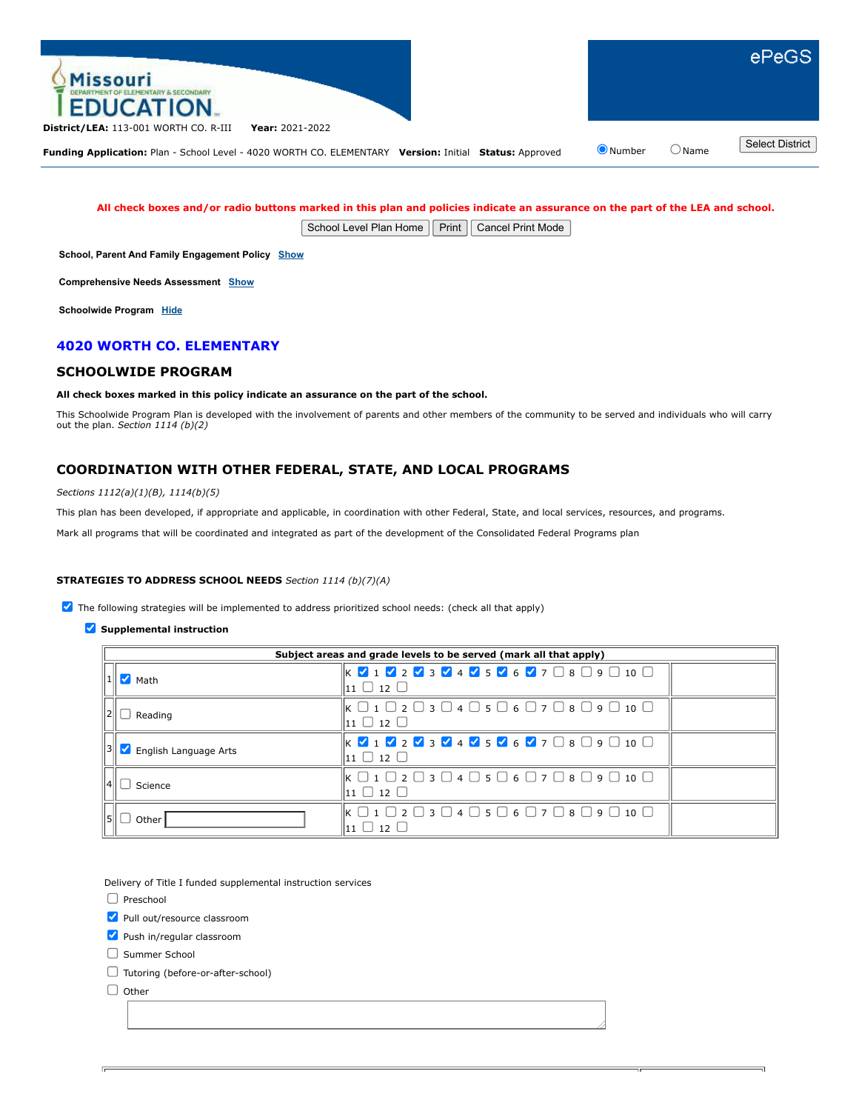

#### **All check boxes and/or radio buttons marked in this plan and policies indicate an assurance on the part of the LEA and school.**

School Level Plan Home | Print | Cancel Print Mode

**School, Parent And Family Engagement Policy [Show](javascript:__doPostBack()**

**Comprehensive Needs Assessment [Show](javascript:__doPostBack()**

**Schoolwide Program [Hide](javascript:__doPostBack()**

## **4020 WORTH CO. ELEMENTARY**

#### **SCHOOLWIDE PROGRAM**

#### **All check boxes marked in this policy indicate an assurance on the part of the school.**

This Schoolwide Program Plan is developed with the involvement of parents and other members of the community to be served and individuals who will carry out the plan. *Section 1114 (b)(2)*

# **COORDINATION WITH OTHER FEDERAL, STATE, AND LOCAL PROGRAMS**

*Sections 1112(a)(1)(B), 1114(b)(5)*

This plan has been developed, if appropriate and applicable, in coordination with other Federal, State, and local services, resources, and programs.

Mark all programs that will be coordinated and integrated as part of the development of the Consolidated Federal Programs plan

#### **STRATEGIES TO ADDRESS SCHOOL NEEDS** *Section 1114 (b)(7)(A)*

 $\blacktriangledown$  The following strategies will be implemented to address prioritized school needs: (check all that apply)

**Supplemental instruction** 

| Subject areas and grade levels to be served (mark all that apply) |                                                                                                                                                                                                                                                                                  |  |  |  |  |
|-------------------------------------------------------------------|----------------------------------------------------------------------------------------------------------------------------------------------------------------------------------------------------------------------------------------------------------------------------------|--|--|--|--|
| $\blacksquare$ Math                                               | $\mathbb{K}$ $\mathbb{V}$ 1 $\mathbb{V}$ 2 $\mathbb{V}$ 3 $\mathbb{V}$ 4 $\mathbb{V}$ 5 $\mathbb{V}$ 6 $\mathbb{V}$ 7 $\Box$ 8 $\Box$ 9 $\Box$ 10 $\Box$<br> 11 □ 12 □                                                                                                           |  |  |  |  |
| Reading                                                           | $\mathsf k \mathrel{\square} 1 \mathrel{\square} 2 \mathrel{\square} 3 \mathrel{\square} 4 \mathrel{\square} 5 \mathrel{\square} 6 \mathrel{\square} 7 \mathrel{\square} 8 \mathrel{\square} 9 \mathrel{\square} 10 \mathrel{\square}$<br>$\mathsf{11}\ \mathsf{12}\ \mathsf{1}$ |  |  |  |  |
| English Language Arts                                             | $\mathbb{K} \times \mathbf{1} \times \mathbf{2} \times \mathbf{3} \times \mathbf{4} \times \mathbf{5} \times \mathbf{6} \times \mathbf{7} \quad \mathbf{8} \quad \mathbf{9} \quad \mathbf{10} \quad \mathbf{0}$<br>$\ln$ 12 $\Box$                                               |  |  |  |  |
| Science                                                           | $\mathsf k \mathrel{\square} 1 \mathrel{\square} 2 \mathrel{\square} 3 \mathrel{\square} 4 \mathrel{\square} 5 \mathrel{\square} 6 \mathrel{\square} 7 \mathrel{\square} 8 \mathrel{\square} 9 \mathrel{\square} 10 \mathrel{\square}$<br>$\ln 1$ $\Box$ 12 $\Box$               |  |  |  |  |
| Other                                                             | $\parallel$ K $\Box$ 1 $\Box$ 2 $\Box$ 3 $\Box$ 4 $\Box$ 5 $\Box$ 6 $\Box$ 7 $\Box$ 8 $\Box$ 9 $\Box$ 10 $\Box$<br>12                                                                                                                                                            |  |  |  |  |

Delivery of Title I funded supplemental instruction services

 $\Box$  Preschool

Pull out/resource classroom

Push in/regular classroom

Summer School

Tutoring (before-or-after-school)

 $\Box$  Other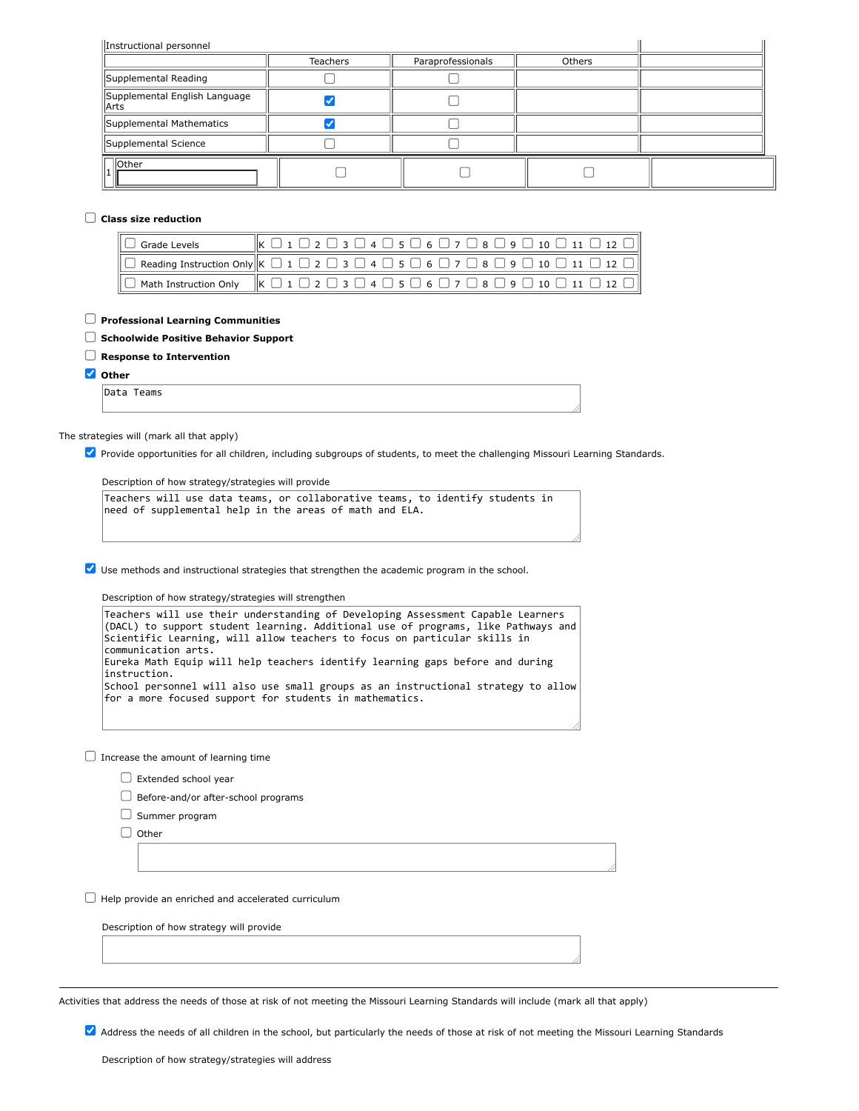| Instructional personnel                 |          |                   |        |  |  |  |
|-----------------------------------------|----------|-------------------|--------|--|--|--|
|                                         | Teachers | Paraprofessionals | Others |  |  |  |
| Supplemental Reading                    |          |                   |        |  |  |  |
| Supplemental English Language<br>  Arts |          |                   |        |  |  |  |
| Supplemental Mathematics                |          |                   |        |  |  |  |
| Supplemental Science                    |          |                   |        |  |  |  |
| <b>Other</b>                            |          |                   |        |  |  |  |

### **Class size reduction**

| $\Box$ Grade Levels | $\left\Vert K\ \Box\ 1\ \Box\ 2\ \Box\ 3\ \Box\ 4\ \Box\ 5\ \Box\ 6\ \Box\ 7\ \Box\ 8\ \Box\ 9\ \Box\ 10\ \Box\ 11\ \Box\ 12\ \Box \right\Vert$                     |
|---------------------|---------------------------------------------------------------------------------------------------------------------------------------------------------------------|
|                     | $\ \Box$ Reading Instruction Only $\ \kappa\ \Box\ 1\ \Box\ 2\ \Box\ 3\ \Box\ 4\ \Box\ 5\ \Box\ 6\ \Box\ 7\ \Box\ 8\ \Box\ 9\ \Box\ 10\ \Box\ 11\ \Box\ 12\ \Box\ $ |
|                     | $\ \Box$ Math Instruction Only $\ $ K $\Box$ 1 $\Box$ 2 $\Box$ 3 $\Box$ 4 $\Box$ 5 $\Box$ 6 $\Box$ 7 $\Box$ 8 $\Box$ 9 $\Box$ 10 $\Box$ 11 $\Box$ 12 $\Box$         |

#### **Professional Learning Communities**

### **Schoolwide Positive Behavior Support**

# **Response to Intervention**

**Other**

Data Teams

#### The strategies will (mark all that apply)

Provide opportunities for all children, including subgroups of students, to meet the challenging Missouri Learning Standards.

Description of how strategy/strategies will provide

|  |  | Teachers will use data teams, or collaborative teams, to identify students in |  |  |  |
|--|--|-------------------------------------------------------------------------------|--|--|--|
|  |  | need of supplemental help in the areas of math and ELA.                       |  |  |  |

Use methods and instructional strategies that strengthen the academic program in the school.

Description of how strategy/strategies will strengthen

| Teachers will use their understanding of Developing Assessment Capable Learners<br>(DACL) to support student learning. Additional use of programs, like Pathways and |  |
|----------------------------------------------------------------------------------------------------------------------------------------------------------------------|--|
| Scientific Learning, will allow teachers to focus on particular skills in                                                                                            |  |
| communication arts.                                                                                                                                                  |  |
| Eureka Math Equip will help teachers identify learning gaps before and during<br>instruction.                                                                        |  |
| School personnel will also use small groups as an instructional strategy to allow $\mid$<br>for a more focused support for students in mathematics.                  |  |
|                                                                                                                                                                      |  |

 $\Box$  Increase the amount of learning time

 $\Box$  Extended school year

 $\Box$  Before-and/or after-school programs

 $\Box$  Summer program

 $\Box$  Other

 $\Box$  Help provide an enriched and accelerated curriculum

Description of how strategy will provide

Activities that address the needs of those at risk of not meeting the Missouri Learning Standards will include (mark all that apply)

Address the needs of all children in the school, but particularly the needs of those at risk of not meeting the Missouri Learning Standards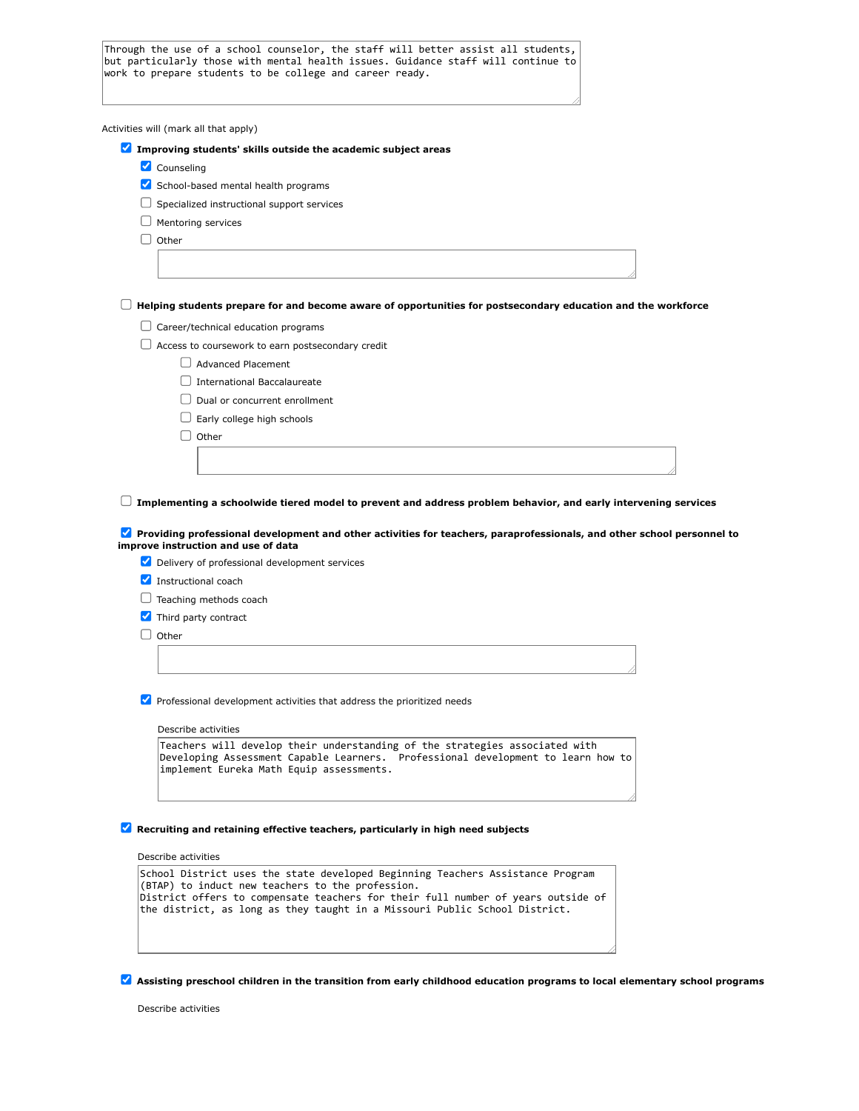Through the use of a school counselor, the staff will better assist all students, but particularly those with mental health issues. Guidance staff will continue to work to prepare students to be college and career ready.

Activities will (mark all that apply) **Improving students' skills outside the academic subject areas** Counseling  $\blacktriangleright$  School-based mental health programs  $\Box$  Specialized instructional support services  $\Box$  Mentoring services  $\Box$  Other **Helping students prepare for and become aware of opportunities for postsecondary education and the workforce**  $\Box$  Career/technical education programs  $\Box$  Access to coursework to earn postsecondary credit Advanced Placement International Baccalaureate  $\Box$  Dual or concurrent enrollment  $\Box$  Early college high schools  $\Box$  Other **Implementing a schoolwide tiered model to prevent and address problem behavior, and early intervening services Providing professional development and other activities for teachers, paraprofessionals, and other school personnel to improve instruction and use of data** Delivery of professional development services Instructional coach  $\Box$  Teaching methods coach Third party contract  $\Box$  Other **V** Professional development activities that address the prioritized needs Describe activities Teachers will develop their understanding of the strategies associated with Developing Assessment Capable Learners. implement Eureka Math Equip assessments.

#### **Recruiting and retaining effective teachers, particularly in high need subjects**

Describe activities

| School District uses the state developed Beginning Teachers Assistance Program   |
|----------------------------------------------------------------------------------|
| (BTAP) to induct new teachers to the profession.                                 |
| District offers to compensate teachers for their full number of years outside of |
| the district, as long as they taught in a Missouri Public School District.       |
|                                                                                  |

**Assisting preschool children in the transition from early childhood education programs to local elementary school programs**

Describe activities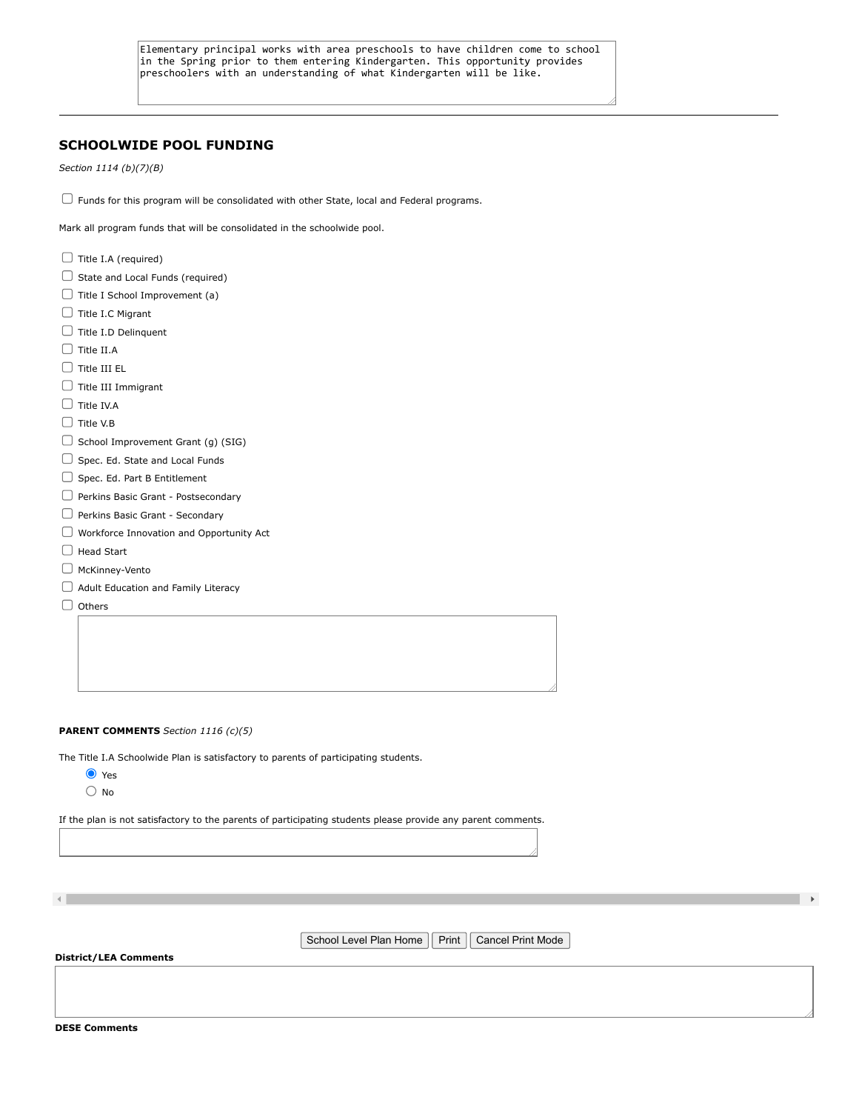# **SCHOOLWIDE POOL FUNDING**

*Section 1114 (b)(7)(B)*

 $\Box$  Funds for this program will be consolidated with other State, local and Federal programs.

Mark all program funds that will be consolidated in the schoolwide pool.

 $\Box$  Title I.A (required)  $\Box$  State and Local Funds (required)  $\Box$  Title I School Improvement (a)  $\Box$  Title I.C Migrant  $\Box$  Title I.D Delinquent  $\Box$  Title II.A  $\Box$  Title III EL  $\Box$  Title III Immigrant  $\Box$  Title IV.A  $\Box$  Title V.B  $\Box$  School Improvement Grant (g) (SIG)  $\Box$  Spec. Ed. State and Local Funds  $\Box$  Spec. Ed. Part B Entitlement Perkins Basic Grant - Postsecondary Perkins Basic Grant - Secondary Workforce Innovation and Opportunity Act □ Head Start McKinney-Vento Adult Education and Family Literacy  $\Box$  Others

#### **PARENT COMMENTS** *Section 1116 (c)(5)*

The Title I.A Schoolwide Plan is satisfactory to parents of participating students.

- **O** Yes
- $\bigcirc$  No

If the plan is not satisfactory to the parents of participating students please provide any parent comments.

School Level Plan Home | Print | Cancel Print Mode

### **District/LEA Comments**